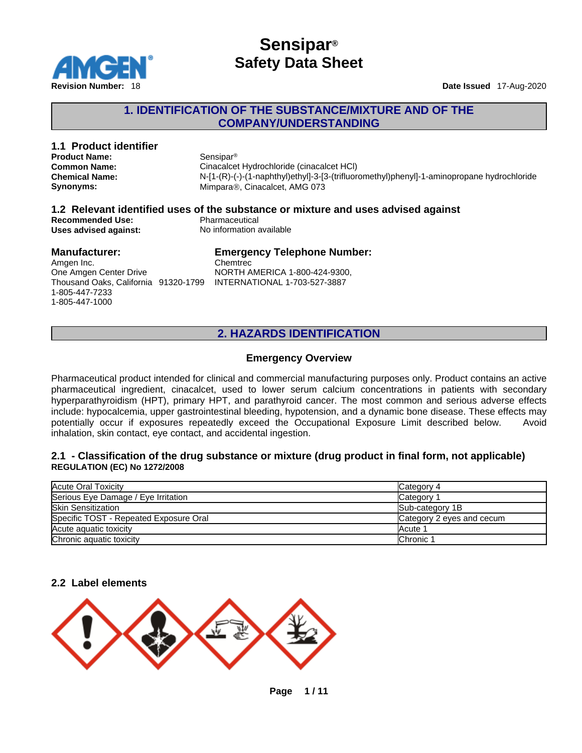

### **1. IDENTIFICATION OF THE SUBSTANCE/MIXTURE AND OF THE COMPANY/UNDERSTANDING**

# **1.1 Product identifier**

**Product Name:** Sensipar<sup>®</sup><br> **Common Name:** Cinacalcet

**Cinacalcet Hydrochloride (cinacalcet HCl) Chemical Name:** N-[1-(R)-(-)-(1-naphthyl)ethyl]-3-[3-(trifluoromethyl)phenyl]-1-aminopropane hydrochloride **Synonyms: Mimpara®, Cinacalcet, AMG 073** 

#### **1.2 Relevant identified uses of the substance or mixture and uses advised against Recommended Use:**<br> **Uses advised against:**<br> **No information available Uses advised against:**

### **Manufacturer:**

### **Emergency Telephone Number:** Chemtrec

Amgen Inc. One Amgen Center Drive Thousand Oaks, California 91320-1799 INTERNATIONAL 1-703-527-3887 1-805-447-7233 1-805-447-1000

NORTH AMERICA 1-800-424-9300,

# **2. HAZARDS IDENTIFICATION**

#### **Emergency Overview**

Pharmaceutical product intended for clinical and commercial manufacturing purposes only. Product contains an active pharmaceutical ingredient, cinacalcet, used to lower serum calcium concentrations in patients with secondary hyperparathyroidism (HPT), primary HPT, and parathyroid cancer. The most common and serious adverse effects include: hypocalcemia, upper gastrointestinal bleeding, hypotension, and a dynamic bone disease. These effects may potentially occur if exposures repeatedly exceed the Occupational Exposure Limit described below. Avoid inhalation, skin contact, eye contact, and accidental ingestion.

#### **2.1 - Classification of the drug substance or mixture (drug product in final form, not applicable) REGULATION (EC) No 1272/2008**

| Acute Oral Toxicity                    | Category 4                |
|----------------------------------------|---------------------------|
| Serious Eye Damage / Eye Irritation    | Category                  |
| <b>Skin Sensitization</b>              | Sub-category 1B           |
| Specific TOST - Repeated Exposure Oral | Category 2 eyes and cecum |
| Acute aguatic toxicity                 | Acute 1                   |
| Chronic aquatic toxicity               | Chronic 1                 |

### **2.2 Label elements**

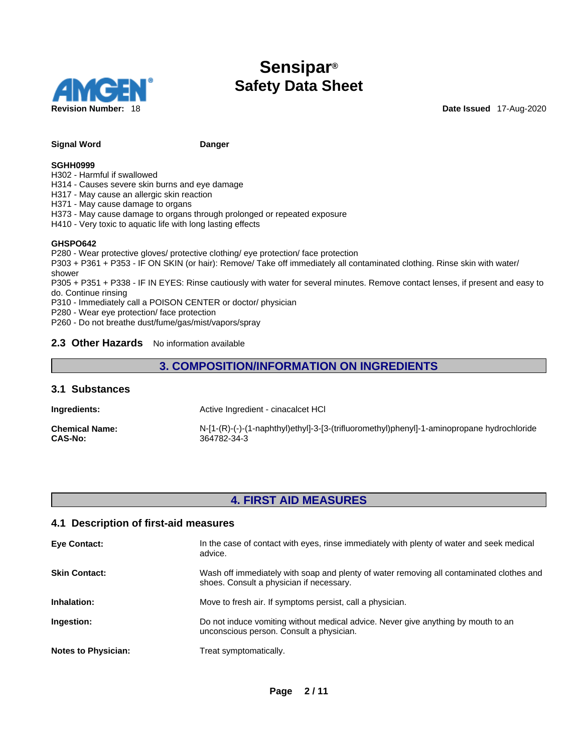

#### **Signal Word Communist Communist Communist Communist Communist Communist Communist Communist Communist Communist Communist Communist Communist Communist Communist Communist Communist Communist Communist Communist Communist**

#### **SGHH0999**

H302 - Harmful if swallowed

H314 - Causes severe skin burns and eye damage

H317 - May cause an allergic skin reaction

H371 - May cause damage to organs

H373 - May cause damage to organs through prolonged or repeated exposure

H410 - Very toxic to aquatic life with long lasting effects

#### **GHSPO642**

P280 - Wear protective gloves/ protective clothing/ eye protection/ face protection

P303 + P361 + P353 - IF ON SKIN (or hair): Remove/ Take off immediately all contaminated clothing. Rinse skin with water/ shower

P305 + P351 + P338 - IF IN EYES: Rinse cautiously with water forseveral minutes. Remove contact lenses, if present and easy to do. Continue rinsing

P310 - Immediately call a POISON CENTER or doctor/ physician

P280 - Wear eye protection/ face protection

P260 - Do not breathe dust/fume/gas/mist/vapors/spray

#### **2.3 Other Hazards** No information available

### **3. COMPOSITION/INFORMATION ON INGREDIENTS**

#### **3.1 Substances**

**Ingredients:** Active Ingredient - cinacalcet HCl

**Chemical Name:** N-[1-(R)-(-)-(1-naphthyl)ethyl]-3-[3-(trifluoromethyl)phenyl]-1-aminopropane hydrochloride **CAS-No:** 364782-34-3

### **4. FIRST AID MEASURES**

#### **4.1 Description of first-aid measures**

| <b>Eye Contact:</b>        | In the case of contact with eyes, rinse immediately with plenty of water and seek medical<br>advice.                                 |
|----------------------------|--------------------------------------------------------------------------------------------------------------------------------------|
| <b>Skin Contact:</b>       | Wash off immediately with soap and plenty of water removing all contaminated clothes and<br>shoes. Consult a physician if necessary. |
| Inhalation:                | Move to fresh air. If symptoms persist, call a physician.                                                                            |
| Ingestion:                 | Do not induce vomiting without medical advice. Never give anything by mouth to an<br>unconscious person. Consult a physician.        |
| <b>Notes to Physician:</b> | Treat symptomatically.                                                                                                               |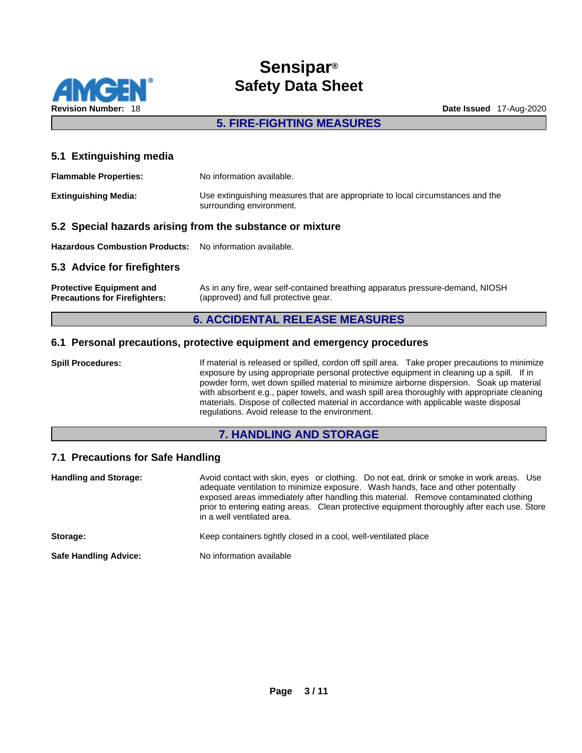

# **5. FIRE-FIGHTING MEASURES**

### **5.1 Extinguishing media**

| <b>Flammable Properties:</b> | No information available.                                                                                  |
|------------------------------|------------------------------------------------------------------------------------------------------------|
| <b>Extinguishing Media:</b>  | Use extinguishing measures that are appropriate to local circumstances and the<br>surrounding environment. |

#### **5.2 Special hazards arising from the substance or mixture**

**Hazardous Combustion Products:** No information available.

#### **5.3 Advice for firefighters**

| <b>Protective Equipment and</b>      | As in any fire, wear self-contained breathing apparatus pressure-demand, NIOSH |
|--------------------------------------|--------------------------------------------------------------------------------|
| <b>Precautions for Firefighters:</b> | (approved) and full protective gear.                                           |

### **6. ACCIDENTAL RELEASE MEASURES**

#### **6.1 Personal precautions, protective equipment and emergency procedures**

**Spill Procedures:** If material is released or spilled, cordon off spill area. Take proper precautions to minimize exposure by using appropriate personal protective equipment in cleaning up a spill. If in powder form, wet down spilled material to minimize airborne dispersion. Soak up material with absorbent e.g., paper towels, and wash spill area thoroughly with appropriate cleaning materials. Dispose of collected material in accordance with applicable waste disposal regulations. Avoid release to the environment.

#### **7. HANDLING AND STORAGE**

### **7.1 Precautions for Safe Handling**

| <b>Handling and Storage:</b> | Avoid contact with skin, eyes or clothing. Do not eat, drink or smoke in work areas. Use<br>adequate ventilation to minimize exposure. Wash hands, face and other potentially<br>exposed areas immediately after handling this material. Remove contaminated clothing<br>prior to entering eating areas. Clean protective equipment thoroughly after each use. Store<br>in a well ventilated area. |
|------------------------------|----------------------------------------------------------------------------------------------------------------------------------------------------------------------------------------------------------------------------------------------------------------------------------------------------------------------------------------------------------------------------------------------------|
| Storage:                     | Keep containers tightly closed in a cool, well-ventilated place                                                                                                                                                                                                                                                                                                                                    |
| <b>Safe Handling Advice:</b> | No information available                                                                                                                                                                                                                                                                                                                                                                           |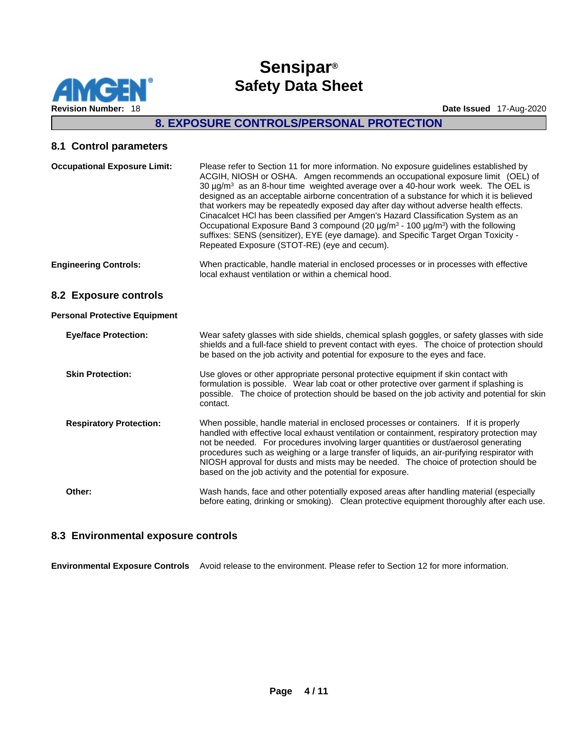

# **8. EXPOSURE CONTROLS/PERSONAL PROTECTION**

#### **8.1 Control parameters**

| <b>Occupational Exposure Limit:</b>  | Please refer to Section 11 for more information. No exposure guidelines established by<br>ACGIH, NIOSH or OSHA. Amgen recommends an occupational exposure limit (OEL) of<br>30 $\mu$ g/m <sup>3</sup> as an 8-hour time weighted average over a 40-hour work week. The OEL is<br>designed as an acceptable airborne concentration of a substance for which it is believed<br>that workers may be repeatedly exposed day after day without adverse health effects.<br>Cinacalcet HCI has been classified per Amgen's Hazard Classification System as an<br>Occupational Exposure Band 3 compound (20 µg/m <sup>3</sup> - 100 µg/m <sup>3</sup> ) with the following<br>suffixes: SENS (sensitizer), EYE (eye damage). and Specific Target Organ Toxicity -<br>Repeated Exposure (STOT-RE) (eye and cecum). |
|--------------------------------------|-----------------------------------------------------------------------------------------------------------------------------------------------------------------------------------------------------------------------------------------------------------------------------------------------------------------------------------------------------------------------------------------------------------------------------------------------------------------------------------------------------------------------------------------------------------------------------------------------------------------------------------------------------------------------------------------------------------------------------------------------------------------------------------------------------------|
| <b>Engineering Controls:</b>         | When practicable, handle material in enclosed processes or in processes with effective<br>local exhaust ventilation or within a chemical hood.                                                                                                                                                                                                                                                                                                                                                                                                                                                                                                                                                                                                                                                            |
| 8.2 Exposure controls                |                                                                                                                                                                                                                                                                                                                                                                                                                                                                                                                                                                                                                                                                                                                                                                                                           |
| <b>Personal Protective Equipment</b> |                                                                                                                                                                                                                                                                                                                                                                                                                                                                                                                                                                                                                                                                                                                                                                                                           |
| <b>Eye/face Protection:</b>          | Wear safety glasses with side shields, chemical splash goggles, or safety glasses with side<br>shields and a full-face shield to prevent contact with eyes. The choice of protection should<br>be based on the job activity and potential for exposure to the eyes and face.                                                                                                                                                                                                                                                                                                                                                                                                                                                                                                                              |
| <b>Skin Protection:</b>              | Use gloves or other appropriate personal protective equipment if skin contact with<br>formulation is possible. Wear lab coat or other protective over garment if splashing is<br>possible. The choice of protection should be based on the job activity and potential for skin<br>contact.                                                                                                                                                                                                                                                                                                                                                                                                                                                                                                                |
| <b>Respiratory Protection:</b>       | When possible, handle material in enclosed processes or containers. If it is properly<br>handled with effective local exhaust ventilation or containment, respiratory protection may<br>not be needed. For procedures involving larger quantities or dust/aerosol generating<br>procedures such as weighing or a large transfer of liquids, an air-purifying respirator with<br>NIOSH approval for dusts and mists may be needed. The choice of protection should be<br>based on the job activity and the potential for exposure.                                                                                                                                                                                                                                                                         |
| Other:                               | Wash hands, face and other potentially exposed areas after handling material (especially<br>before eating, drinking or smoking). Clean protective equipment thoroughly after each use.                                                                                                                                                                                                                                                                                                                                                                                                                                                                                                                                                                                                                    |

### **8.3 Environmental exposure controls**

**Environmental Exposure Controls** Avoid release to the environment. Please refer to Section 12 for more information.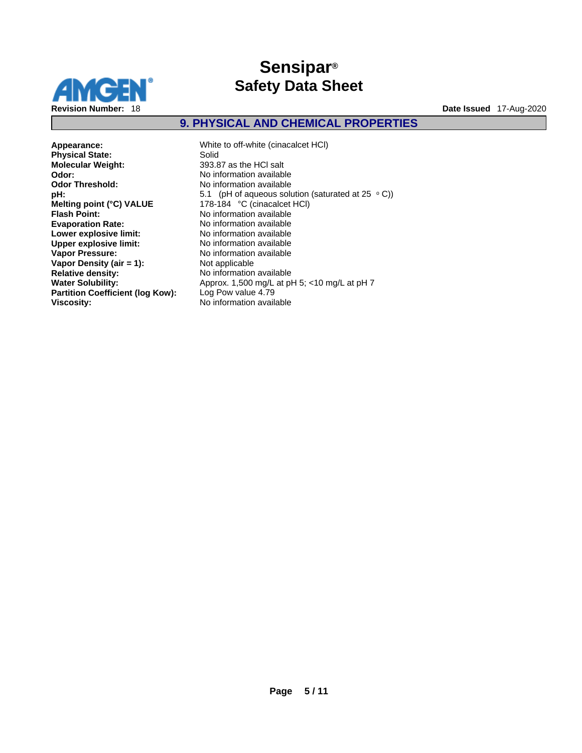

# **9. PHYSICAL AND CHEMICAL PROPERTIES**

**Physical State: Molecular Weight:** 393.87 as the HCl salt **Odor:**  $\overline{\phantom{a}}$  **Odor:**  $\overline{\phantom{a}}$  **No** information available **Odor Threshold:** No information available **Odor Threshold:** No information available<br> **pH:** 5.1 (pH of aqueous solu **Melting point (°C) VALUE** 178-184 °C (cinacalcet HCl)<br> **Flash Point:** No information available **Evaporation Rate:** No information available **Lower explosive limit:** No information available **Upper explosive limit:** No information available **Vapor Pressure:** No information available **Vapor Density (air = 1):** Not applicable **Relative density:** No information available **Partition Coefficient (log Kow):** Log Pow value 4.79 **Viscosity:** No information available

**Appearance:** White to off-white (cinacalcet HCl) **pH: 5.1** (pH of aqueous solution (saturated at 25 ° C))<br> **Melting point (°C) VALUE** 178-184 °C (cinacalcet HCl) **Flash Point:** No information available **Water Solubility:** Approx. 1,500 mg/L at pH 5; <10 mg/L at pH 7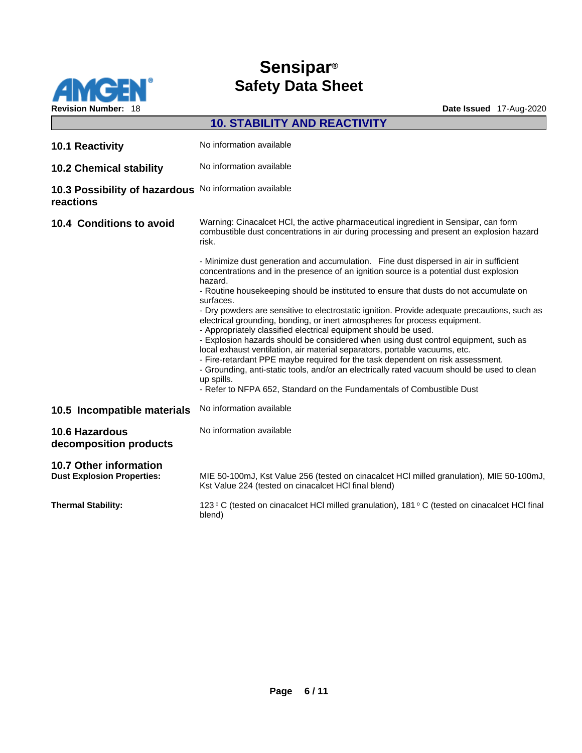

|                                                                    | <b>10. STABILITY AND REACTIVITY</b>                                                                                                                                                                                                                                                                                                                                                                                                                                                                                                                                                                                                                                                                                                                                                                                                                                                                                                                                                            |
|--------------------------------------------------------------------|------------------------------------------------------------------------------------------------------------------------------------------------------------------------------------------------------------------------------------------------------------------------------------------------------------------------------------------------------------------------------------------------------------------------------------------------------------------------------------------------------------------------------------------------------------------------------------------------------------------------------------------------------------------------------------------------------------------------------------------------------------------------------------------------------------------------------------------------------------------------------------------------------------------------------------------------------------------------------------------------|
| 10.1 Reactivity                                                    | No information available                                                                                                                                                                                                                                                                                                                                                                                                                                                                                                                                                                                                                                                                                                                                                                                                                                                                                                                                                                       |
| <b>10.2 Chemical stability</b>                                     | No information available                                                                                                                                                                                                                                                                                                                                                                                                                                                                                                                                                                                                                                                                                                                                                                                                                                                                                                                                                                       |
| 10.3 Possibility of hazardous<br>reactions                         | No information available                                                                                                                                                                                                                                                                                                                                                                                                                                                                                                                                                                                                                                                                                                                                                                                                                                                                                                                                                                       |
| 10.4 Conditions to avoid                                           | Warning: Cinacalcet HCl, the active pharmaceutical ingredient in Sensipar, can form<br>combustible dust concentrations in air during processing and present an explosion hazard<br>risk.                                                                                                                                                                                                                                                                                                                                                                                                                                                                                                                                                                                                                                                                                                                                                                                                       |
|                                                                    | - Minimize dust generation and accumulation. Fine dust dispersed in air in sufficient<br>concentrations and in the presence of an ignition source is a potential dust explosion<br>hazard.<br>- Routine housekeeping should be instituted to ensure that dusts do not accumulate on<br>surfaces.<br>- Dry powders are sensitive to electrostatic ignition. Provide adequate precautions, such as<br>electrical grounding, bonding, or inert atmospheres for process equipment.<br>- Appropriately classified electrical equipment should be used.<br>- Explosion hazards should be considered when using dust control equipment, such as<br>local exhaust ventilation, air material separators, portable vacuums, etc.<br>- Fire-retardant PPE maybe required for the task dependent on risk assessment.<br>- Grounding, anti-static tools, and/or an electrically rated vacuum should be used to clean<br>up spills.<br>- Refer to NFPA 652, Standard on the Fundamentals of Combustible Dust |
| 10.5 Incompatible materials                                        | No information available                                                                                                                                                                                                                                                                                                                                                                                                                                                                                                                                                                                                                                                                                                                                                                                                                                                                                                                                                                       |
| <b>10.6 Hazardous</b><br>decomposition products                    | No information available                                                                                                                                                                                                                                                                                                                                                                                                                                                                                                                                                                                                                                                                                                                                                                                                                                                                                                                                                                       |
| <b>10.7 Other information</b><br><b>Dust Explosion Properties:</b> | MIE 50-100mJ, Kst Value 256 (tested on cinacalcet HCl milled granulation), MIE 50-100mJ,<br>Kst Value 224 (tested on cinacalcet HCI final blend)                                                                                                                                                                                                                                                                                                                                                                                                                                                                                                                                                                                                                                                                                                                                                                                                                                               |
| <b>Thermal Stability:</b>                                          | 123 ° C (tested on cinacalcet HCI milled granulation), 181 ° C (tested on cinacalcet HCI final<br>blend)                                                                                                                                                                                                                                                                                                                                                                                                                                                                                                                                                                                                                                                                                                                                                                                                                                                                                       |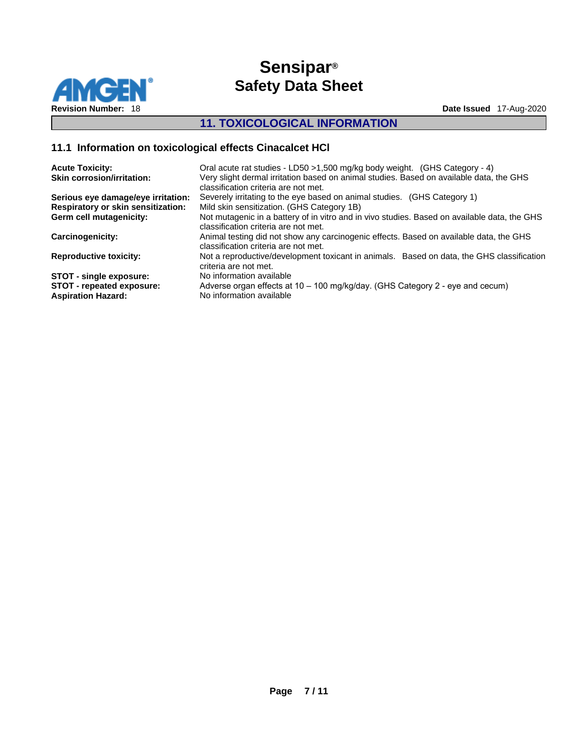

# **11. TOXICOLOGICAL INFORMATION**

# **11.1 Information on toxicological effects Cinacalcet HCl**

| <b>Acute Toxicity:</b><br><b>Skin corrosion/irritation:</b> | Oral acute rat studies - LD50 > 1,500 mg/kg body weight. (GHS Category - 4)<br>Very slight dermal irritation based on animal studies. Based on available data, the GHS<br>classification criteria are not met. |
|-------------------------------------------------------------|----------------------------------------------------------------------------------------------------------------------------------------------------------------------------------------------------------------|
| Serious eye damage/eye irritation:                          | Severely irritating to the eye based on animal studies. (GHS Category 1)                                                                                                                                       |
| <b>Respiratory or skin sensitization:</b>                   | Mild skin sensitization. (GHS Category 1B)                                                                                                                                                                     |
| Germ cell mutagenicity:                                     | Not mutagenic in a battery of in vitro and in vivo studies. Based on available data, the GHS<br>classification criteria are not met.                                                                           |
| Carcinogenicity:                                            | Animal testing did not show any carcinogenic effects. Based on available data, the GHS<br>classification criteria are not met.                                                                                 |
| <b>Reproductive toxicity:</b>                               | Not a reproductive/development toxicant in animals. Based on data, the GHS classification<br>criteria are not met.                                                                                             |
| <b>STOT - single exposure:</b>                              | No information available                                                                                                                                                                                       |
| STOT - repeated exposure:<br><b>Aspiration Hazard:</b>      | Adverse organ effects at 10 - 100 mg/kg/day. (GHS Category 2 - eye and cecum)<br>No information available                                                                                                      |
|                                                             |                                                                                                                                                                                                                |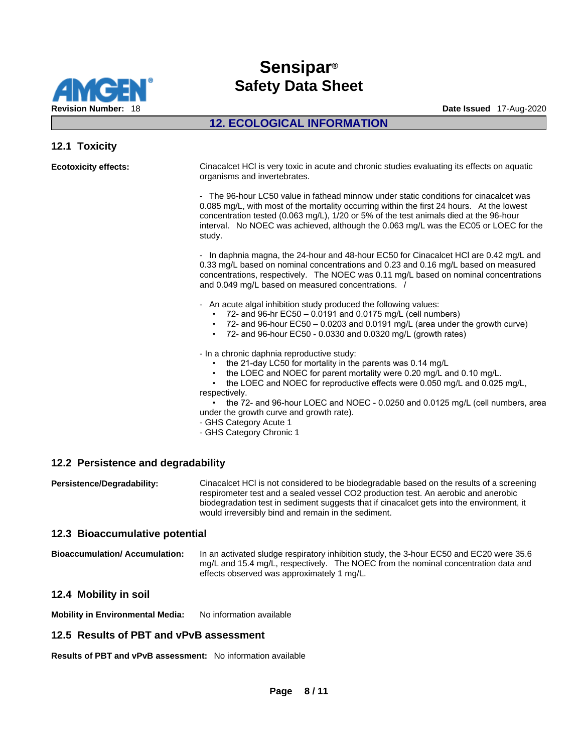

# **12. ECOLOGICAL INFORMATION**

### **12.1 Toxicity**

| <b>Ecotoxicity effects:</b>        | Cinacalcet HCI is very toxic in acute and chronic studies evaluating its effects on aquatic<br>organisms and invertebrates.                                                                                                                                                                                                                                                                                                                                         |
|------------------------------------|---------------------------------------------------------------------------------------------------------------------------------------------------------------------------------------------------------------------------------------------------------------------------------------------------------------------------------------------------------------------------------------------------------------------------------------------------------------------|
|                                    | - The 96-hour LC50 value in fathead minnow under static conditions for cinacalcet was<br>0.085 mg/L, with most of the mortality occurring within the first 24 hours. At the lowest<br>concentration tested (0.063 mg/L), 1/20 or 5% of the test animals died at the 96-hour<br>interval. No NOEC was achieved, although the 0.063 mg/L was the EC05 or LOEC for the<br>study.                                                                                       |
|                                    | - In daphnia magna, the 24-hour and 48-hour EC50 for Cinacalcet HCl are 0.42 mg/L and<br>0.33 mg/L based on nominal concentrations and 0.23 and 0.16 mg/L based on measured<br>concentrations, respectively. The NOEC was 0.11 mg/L based on nominal concentrations<br>and 0.049 mg/L based on measured concentrations. /                                                                                                                                           |
|                                    | - An acute algal inhibition study produced the following values:<br>72- and 96-hr EC50 - 0.0191 and 0.0175 mg/L (cell numbers)<br>72- and 96-hour EC50 - 0.0203 and 0.0191 mg/L (area under the growth curve)<br>$\cdot$ 72- and 96-hour EC50 - 0.0330 and 0.0320 mg/L (growth rates)                                                                                                                                                                               |
|                                    | - In a chronic daphnia reproductive study:<br>the 21-day LC50 for mortality in the parents was 0.14 mg/L<br>the LOEC and NOEC for parent mortality were 0.20 mg/L and 0.10 mg/L.<br>the LOEC and NOEC for reproductive effects were 0.050 mg/L and 0.025 mg/L,<br>respectively.<br>the 72- and 96-hour LOEC and NOEC - 0.0250 and 0.0125 mg/L (cell numbers, area<br>under the growth curve and growth rate).<br>- GHS Category Acute 1<br>- GHS Category Chronic 1 |
| 12.2 Persistence and degradability |                                                                                                                                                                                                                                                                                                                                                                                                                                                                     |
| Persistence/Degradability:         | Cinacalcet HCI is not considered to be biodegradable based on the results of a screening<br>respirometer test and a sealed vessel CO2 production test. An aerobic and anerobic                                                                                                                                                                                                                                                                                      |

respirometer test and a sealed vessel CO2 production test. An aerobic and anerobic biodegradation test in sediment suggests that if cinacalcet gets into the environment, it would irreversibly bind and remain in the sediment.

#### **12.3 Bioaccumulative potential**

**Bioaccumulation/ Accumulation:** In an activated sludge respiratory inhibition study, the 3-hour EC50 and EC20 were 35.6 mg/L and 15.4 mg/L, respectively. The NOEC from the nominal concentration data and effects observed was approximately 1 mg/L.

#### **12.4 Mobility in soil**

**Mobility in Environmental Media:** No information available

#### **12.5 Results of PBT and vPvB assessment**

**Results of PBT and vPvB assessment:** No information available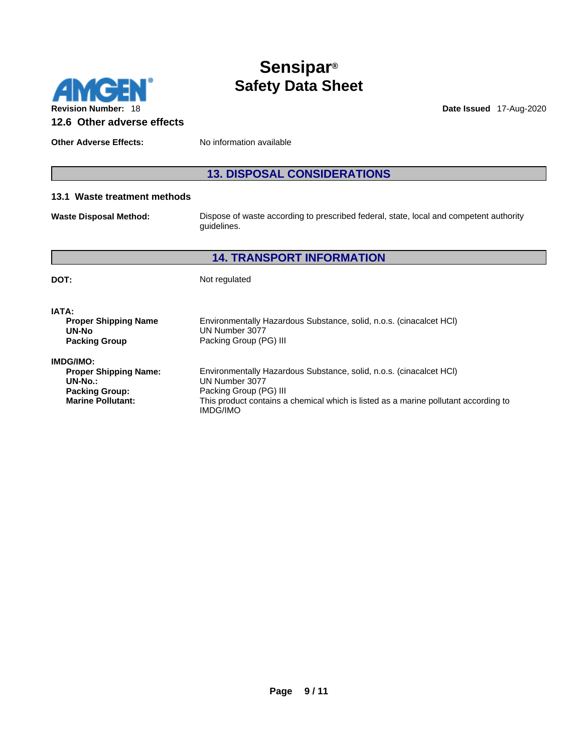

**Other Adverse Effects:** No information available

# **13. DISPOSAL CONSIDERATIONS**

#### **13.1 Waste treatment methods**

**Waste Disposal Method:** Dispose of waste according to prescribed federal, state, local and competent authority guidelines.

# **14. TRANSPORT INFORMATION**

**DOT:** Not regulated

| IATA:                        |                                                                                     |  |
|------------------------------|-------------------------------------------------------------------------------------|--|
| <b>Proper Shipping Name</b>  | Environmentally Hazardous Substance, solid, n.o.s. (cinacalcet HCI)                 |  |
| UN-No                        | UN Number 3077                                                                      |  |
| <b>Packing Group</b>         | Packing Group (PG) III                                                              |  |
| <b>IMDG/IMO:</b>             |                                                                                     |  |
| <b>Proper Shipping Name:</b> | Environmentally Hazardous Substance, solid, n.o.s. (cinacalcet HCI)                 |  |
| $UN-No.$ :                   | UN Number 3077                                                                      |  |
| <b>Packing Group:</b>        | Packing Group (PG) III                                                              |  |
| <b>Marine Pollutant:</b>     | This product contains a chemical which is listed as a marine pollutant according to |  |
|                              | <b>IMDG/IMO</b>                                                                     |  |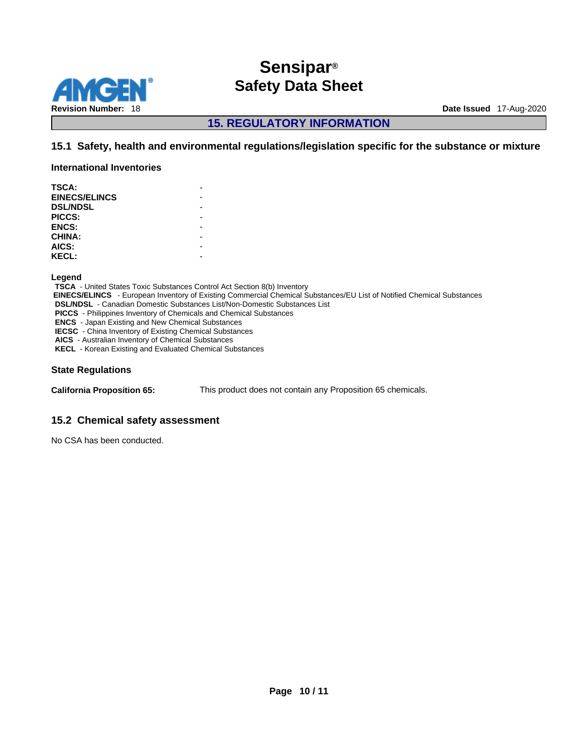

**15. REGULATORY INFORMATION** 

### **15.1 Safety, health and environmental regulations/legislation specific for the substance or mixture**

**International Inventories**

| <b>TSCA:</b>         |  |
|----------------------|--|
| <b>EINECS/ELINCS</b> |  |
| <b>DSL/NDSL</b>      |  |
| PICCS:               |  |
| <b>ENCS:</b>         |  |
| CHINA:               |  |
| AICS:                |  |
| <b>KECL:</b>         |  |
|                      |  |

**Legend** 

**TSCA** - United States Toxic Substances Control Act Section 8(b) Inventory  **EINECS/ELINCS** - European Inventory of Existing Commercial Chemical Substances/EU List of Notified Chemical Substances **DSL/NDSL** - Canadian Domestic Substances List/Non-Domestic Substances List **PICCS** - Philippines Inventory of Chemicals and Chemical Substances **ENCS** - Japan Existing and New Chemical Substances **IECSC** - China Inventory of Existing Chemical Substances **AICS** - Australian Inventory of Chemical Substances **KECL** - Korean Existing and Evaluated Chemical Substances

#### **State Regulations**

**California Proposition 65:** This product does not contain any Proposition 65 chemicals.

#### **15.2 Chemical safety assessment**

No CSA has been conducted.